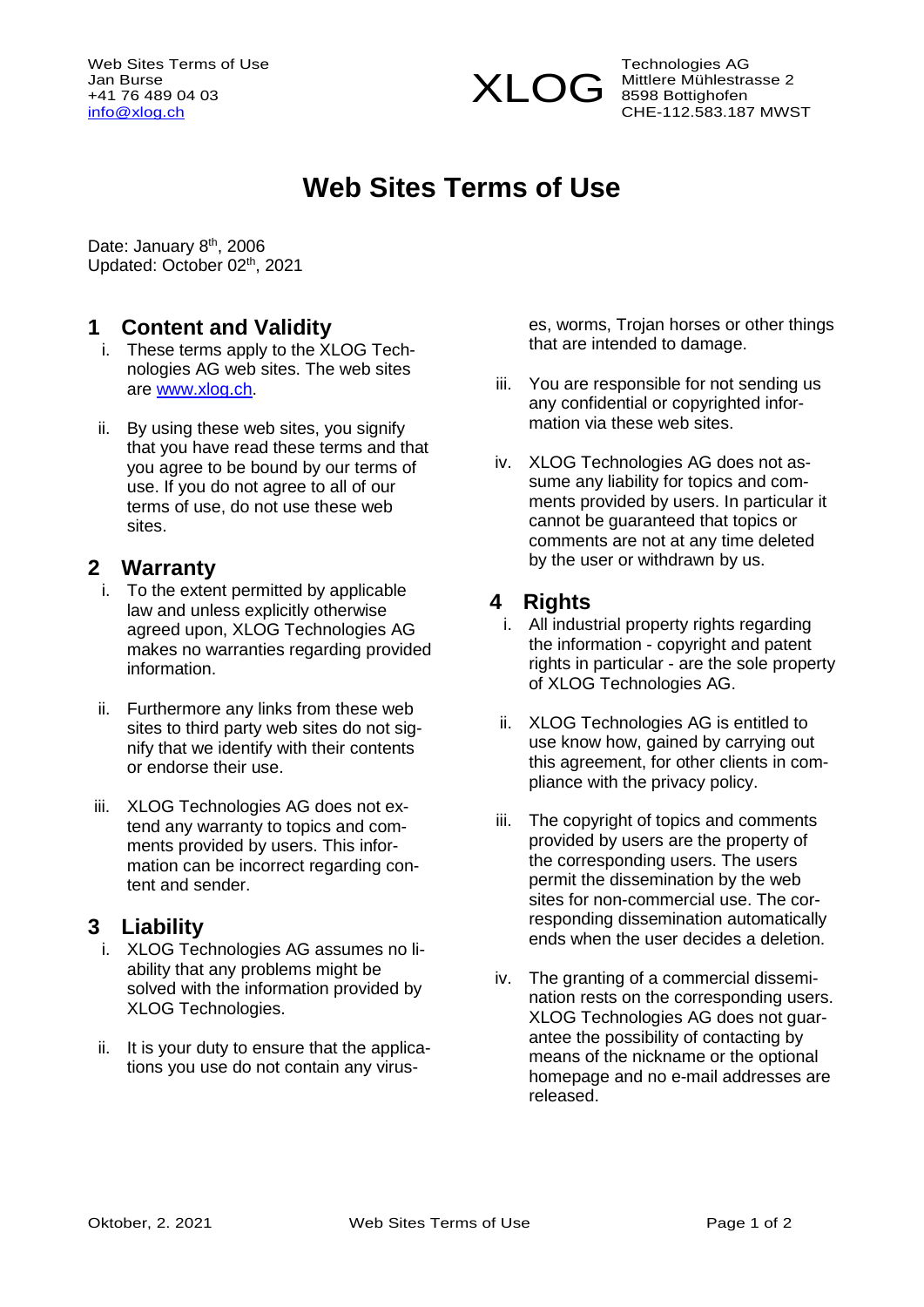Web Sites Terms of Use Jan Burse +41 76 489 04 03 [info@xlog.ch](mailto:info@xlog.ch)



Technologies AG Mittlere Mühlestrasse 2 Mituere mann<br>8598 Bottighofen CHE-112.583.187 MWST

# **Web Sites Terms of Use**

Date: January 8<sup>th</sup>, 2006 Updated: October 02<sup>th</sup>, 2021

### **1 Content and Validity**

- i. These terms apply to the XLOG Technologies AG web sites. The web sites are [www.xlog.ch.](http://www.xlog.ch/)
- ii. By using these web sites, you signify that you have read these terms and that you agree to be bound by our terms of use. If you do not agree to all of our terms of use, do not use these web sites.

#### **2 Warranty**

- i. To the extent permitted by applicable law and unless explicitly otherwise agreed upon, XLOG Technologies AG makes no warranties regarding provided information.
- ii. Furthermore any links from these web sites to third party web sites do not signify that we identify with their contents or endorse their use.
- iii. XLOG Technologies AG does not extend any warranty to topics and comments provided by users. This information can be incorrect regarding content and sender.

#### **3 Liability**

- i. XLOG Technologies AG assumes no liability that any problems might be solved with the information provided by XLOG Technologies.
- ii. It is your duty to ensure that the applications you use do not contain any virus-

es, worms, Trojan horses or other things that are intended to damage.

- iii. You are responsible for not sending us any confidential or copyrighted information via these web sites.
- iv. XLOG Technologies AG does not assume any liability for topics and comments provided by users. In particular it cannot be guaranteed that topics or comments are not at any time deleted by the user or withdrawn by us.

#### **4 Rights**

- i. All industrial property rights regarding the information - copyright and patent rights in particular - are the sole property of XLOG Technologies AG.
- ii. XLOG Technologies AG is entitled to use know how, gained by carrying out this agreement, for other clients in compliance with the privacy policy.
- iii. The copyright of topics and comments provided by users are the property of the corresponding users. The users permit the dissemination by the web sites for non-commercial use. The corresponding dissemination automatically ends when the user decides a deletion.
- iv. The granting of a commercial dissemination rests on the corresponding users. XLOG Technologies AG does not guarantee the possibility of contacting by means of the nickname or the optional homepage and no e-mail addresses are released.